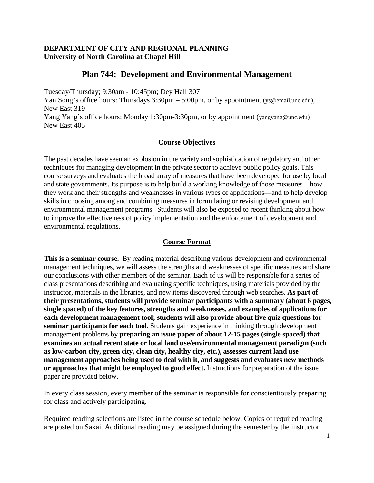### **DEPARTMENT OF CITY AND REGIONAL PLANNING University of North Carolina at Chapel Hill**

# **Plan 744: Development and Environmental Management**

Tuesday/Thursday; 9:30am - 10:45pm; Dey Hall 307

Yan Song's office hours: Thursdays 3:30pm – 5:00pm, or by appointment [\(ys@email.unc.edu\)](mailto:ys@email.unc.edu), New East 319

Yang Yang's office hours: Monday 1:30pm-3:30pm, or by appointment [\(yangyang@unc.edu\)](mailto:yangyang@unc.edu) New East 405

#### **Course Objectives**

The past decades have seen an explosion in the variety and sophistication of regulatory and other techniques for managing development in the private sector to achieve public policy goals. This course surveys and evaluates the broad array of measures that have been developed for use by local and state governments. Its purpose is to help build a working knowledge of those measures—how they work and their strengths and weaknesses in various types of applications—and to help develop skills in choosing among and combining measures in formulating or revising development and environmental management programs. Students will also be exposed to recent thinking about how to improve the effectiveness of policy implementation and the enforcement of development and environmental regulations.

#### **Course Format**

**This is a seminar course.** By reading material describing various development and environmental management techniques, we will assess the strengths and weaknesses of specific measures and share our conclusions with other members of the seminar. Each of us will be responsible for a series of class presentations describing and evaluating specific techniques, using materials provided by the instructor, materials in the libraries, and new items discovered through web searches. **As part of their presentations, students will provide seminar participants with a summary (about 6 pages, single spaced) of the key features, strengths and weaknesses, and examples of applications for each development management tool; students will also provide about five quiz questions for seminar participants for each tool.** Students gain experience in thinking through development management problems by **preparing an issue paper of about 12-15 pages (single spaced) that examines an actual recent state or local land use/environmental management paradigm (such as low-carbon city, green city, clean city, healthy city, etc.), assesses current land use management approaches being used to deal with it, and suggests and evaluates new methods or approaches that might be employed to good effect.** Instructions for preparation of the issue paper are provided below.

In every class session, every member of the seminar is responsible for conscientiously preparing for class and actively participating.

Required reading selections are listed in the course schedule below. Copies of required reading are posted on Sakai. Additional reading may be assigned during the semester by the instructor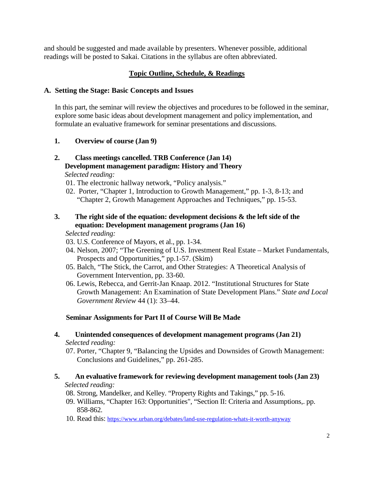and should be suggested and made available by presenters. Whenever possible, additional readings will be posted to Sakai. Citations in the syllabus are often abbreviated.

# **Topic Outline, Schedule, & Readings**

### **A. Setting the Stage: Basic Concepts and Issues**

In this part, the seminar will review the objectives and procedures to be followed in the seminar, explore some basic ideas about development management and policy implementation, and formulate an evaluative framework for seminar presentations and discussions.

### **1. Overview of course (Jan 9)**

# **2. Class meetings cancelled. TRB Conference (Jan 14) Development management paradigm: History and Theory**

*Selected reading:*

- 01. The electronic hallway network, "Policy analysis."
- 02. Porter, "Chapter 1, Introduction to Growth Management," pp. 1-3, 8-13; and "Chapter 2, Growth Management Approaches and Techniques," pp. 15-53.

### **3. The right side of the equation: development decisions & the left side of the equation: Development management programs (Jan 16)**

*Selected reading:*

- 03. U.S. Conference of Mayors, et al., pp. 1-34.
- 04. Nelson, 2007; "The Greening of U.S. Investment Real Estate Market Fundamentals, Prospects and Opportunities," pp.1-57. (Skim)
- 05. Balch, "The Stick, the Carrot, and Other Strategies: A Theoretical Analysis of Government Intervention, pp. 33-60.
- 06. Lewis, Rebecca, and Gerrit-Jan Knaap. 2012. "Institutional Structures for State Growth Management: An Examination of State Development Plans." *State and Local Government Review* 44 (1): 33–44.

### **Seminar Assignments for Part II of Course Will Be Made**

#### **4. Unintended consequences of development management programs (Jan 21)** *Selected reading:*

07. Porter, "Chapter 9, "Balancing the Upsides and Downsides of Growth Management: Conclusions and Guidelines," pp. 261-285.

### **5. An evaluative framework for reviewing development management tools (Jan 23)**  *Selected reading:*

- 08. Strong, Mandelker, and Kelley. "Property Rights and Takings," pp. 5-16.
- 09. Williams, "Chapter 163: Opportunities", "Section II: Criteria and Assumptions,. pp. 858-862.
- 10. Read this[: https://www.urban.org/debates/land-use-regulation-whats-it-worth-anyway](https://www.urban.org/debates/land-use-regulation-whats-it-worth-anyway)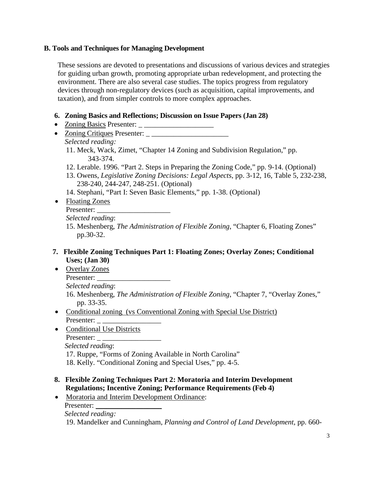# **B. Tools and Techniques for Managing Development**

These sessions are devoted to presentations and discussions of various devices and strategies for guiding urban growth, promoting appropriate urban redevelopment, and protecting the environment. There are also several case studies. The topics progress from regulatory devices through non-regulatory devices (such as acquisition, capital improvements, and taxation), and from simpler controls to more complex approaches.

## **6. Zoning Basics and Reflections; Discussion on Issue Papers (Jan 28)**

- Zoning Basics Presenter:  $\frac{1}{2}$
- Zoning Critiques Presenter: *Selected reading:*

11. Meck, Wack, Zimet, "Chapter 14 Zoning and Subdivision Regulation," pp. 343-374.

- 12. Lerable. 1996. "Part 2. Steps in Preparing the Zoning Code," pp. 9-14. (Optional)
- 13. Owens, *Legislative Zoning Decisions: Legal Aspects*, pp. 3-12, 16, Table 5, 232-238, 238-240, 244-247, 248-251. (Optional)
- 14. Stephani, "Part I: Seven Basic Elements," pp. 1-38. (Optional)
- Floating Zones
	- Presenter: \_\_\_\_\_\_\_\_\_\_\_\_\_\_\_\_\_\_\_\_

15. Meshenberg, *The Administration of Flexible Zoning*, "Chapter 6, Floating Zones" pp.30-32.

### **7. Flexible Zoning Techniques Part 1: Floating Zones; Overlay Zones; Conditional Uses; (Jan 30)**

• Overlay Zones Presenter:

*Selected reading*: 16. Meshenberg, *The Administration of Flexible Zoning*, "Chapter 7, "Overlay Zones,"

- pp. 33-35. • Conditional zoning (vs Conventional Zoning with Special Use District) Presenter:
- Conditional Use Districts Presenter: \_ \_\_\_\_\_\_\_\_\_\_\_\_\_\_\_\_

*Selected reading*:

17. Ruppe, "Forms of Zoning Available in North Carolina"

18. Kelly. "Conditional Zoning and Special Uses," pp. 4-5.

# **8. Flexible Zoning Techniques Part 2: Moratoria and Interim Development Regulations; Incentive Zoning; Performance Requirements (Feb 4)**

• Moratoria and Interim Development Ordinance:

Presenter: *Selected reading:*

19. Mandelker and Cunningham, *Planning and Control of Land Development,* pp. 660-

*Selected reading*: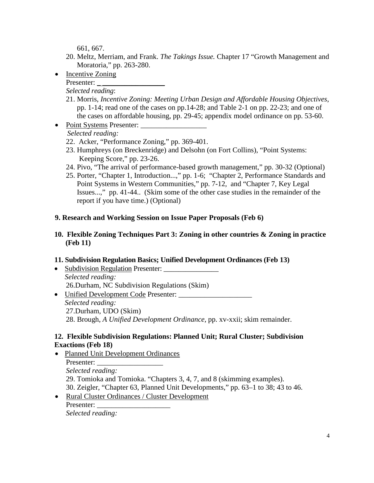661, 667.

- 20. Meltz, Merriam, and Frank. *The Takings Issue.* Chapter 17 "Growth Management and Moratoria," pp. 263-280.
- Incentive Zoning Presenter:  $\overline{\phantom{a}}$

*Selected reading*:

- 21. Morris, *Incentive Zoning: Meeting Urban Design and Affordable Housing Objectives*, pp. 1-14; read one of the cases on pp.14-28; and Table 2-1 on pp. 22-23; and one of the cases on affordable housing, pp. 29-45; appendix model ordinance on pp. 53-60.
- Point Systems Presenter:

# *Selected reading:*

- 22. Acker, "Performance Zoning," pp. 369-401.
- 23. Humphreys (on Breckenridge) and Delsohn (on Fort Collins), "Point Systems: Keeping Score," pp. 23-26.
- 24. Pivo, "The arrival of performance-based growth management," pp. 30-32 (Optional)
- 25. Porter, "Chapter 1, Introduction...," pp. 1-6; "Chapter 2, Performance Standards and Point Systems in Western Communities," pp. 7-12, and "Chapter 7, Key Legal Issues...," pp. 41-44.. (Skim some of the other case studies in the remainder of the report if you have time.) (Optional)

# **9. Research and Working Session on Issue Paper Proposals (Feb 6)**

## **10. Flexible Zoning Techniques Part 3: Zoning in other countries & Zoning in practice (Feb 11)**

### **11. Subdivision Regulation Basics; Unified Development Ordinances (Feb 13)**

- Subdivision Regulation Presenter: *Selected reading:* 26.Durham, NC Subdivision Regulations (Skim)
- Unified Development Code Presenter: \_\_\_\_\_\_\_\_\_\_\_\_\_\_\_\_\_\_\_\_ *Selected reading:* 27.Durham, UDO (Skim) 28. Brough, *A Unified Development Ordinance,* pp. xv-xxii; skim remainder.

# **12. Flexible Subdivision Regulations: Planned Unit; Rural Cluster; Subdivision Exactions (Feb 18)**

- Planned Unit Development Ordinances Presenter: *Selected reading:* 29. Tomioka and Tomioka. "Chapters 3, 4, 7, and 8 (skimming examples). 30. Zeigler, "Chapter 63, Planned Unit Developments," pp. 63–1 to 38; 43 to 46. • Rural Cluster Ordinances / Cluster Development
	- Presenter:

*Selected reading:*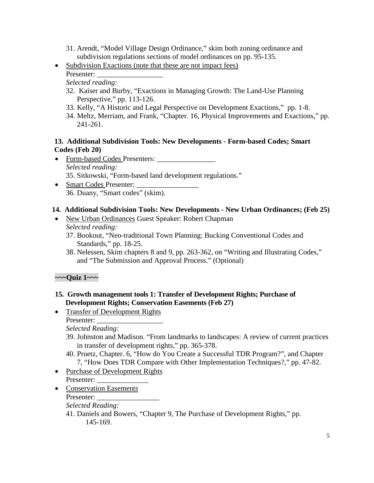- 31. Arendt, "Model Village Design Ordinance," skim both zoning ordinance and subdivision regulations sections of model ordinances on pp. 95-135.
- Subdivision Exactions (note that these are not impact fees) Presenter:

*Selected reading:*

- 32. Kaiser and Burby, "Exactions in Managing Growth: The Land-Use Planning Perspective," pp. 113-126.
- 33. Kelly, "A Historic and Legal Perspective on Development Exactions,"pp. 1-8.
- 34. Meltz, Merriam, and Frank, "Chapter. 16, Physical Improvements and Exactions," pp. 241-261.

### **13. Additional Subdivision Tools: New Developments - Form-based Codes; Smart Codes (Feb 20)**

- Form-based Codes Presenters: *Selected reading:* 35. Sitkowski, "Form-based land development regulations."
- Smart Codes Presenter: 36. Duany, "Smart codes" (skim).

# **14. Additional Subdivision Tools: New Developments - New Urban Ordinances; (Feb 25)**

- New Urban Ordinances Guest Speaker: Robert Chapman *Selected reading:*
	- 37. Bookout, "Neo-traditional Town Planning: Bucking Conventional Codes and Standards," pp. 18-25.
	- 38. Nelessen, Skim chapters 8 and 9, pp. 263-362, on "Writing and Illustrating Codes," and "The Submission and Approval Process." (Optional)

**~~~Quiz 1~~~**

- **15. Growth management tools 1: Transfer of Development Rights; Purchase of Development Rights; Conservation Easements (Feb 27)**
- Transfer of Development Rights Presenter:

*Selected Reading:*

- 39. Johnston and Madison. "From landmarks to landscapes: A review of current practices in transfer of development rights," pp. 365-378.
- 40. Pruetz, Chapter. 6, "How do You Create a Successful TDR Program?", and Chapter 7, "How Does TDR Compare with Other Implementation Techniques?," pp. 47-82.
- Purchase of Development Rights Presenter:
- Conservation Easements Presenter: *Selected Reading:*
	- 41. Daniels and Bowers, "Chapter 9, The Purchase of Development Rights," pp. 145-169.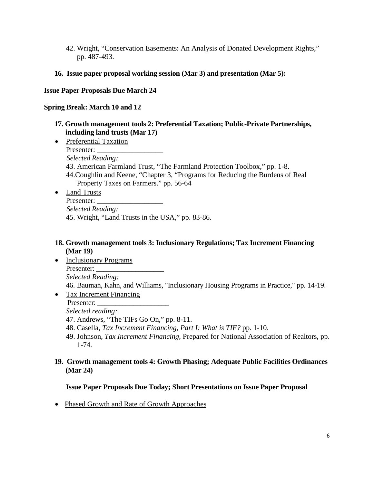- 42. Wright, "Conservation Easements: An Analysis of Donated Development Rights," pp. 487-493.
- **16. Issue paper proposal working session (Mar 3) and presentation (Mar 5):**

#### **Issue Paper Proposals Due March 24**

### **Spring Break: March 10 and 12**

- **17. Growth management tools 2: Preferential Taxation; Public-Private Partnerships, including land trusts (Mar 17)**
- Preferential Taxation Presenter: *Selected Reading:* 43. American Farmland Trust, "The Farmland Protection Toolbox," pp. 1-8. 44.Coughlin and Keene, "Chapter 3, "Programs for Reducing the Burdens of Real Property Taxes on Farmers." pp. 56-64 • Land Trusts
	- Presenter: *Selected Reading:* 45. Wright, "Land Trusts in the USA," pp. 83-86.

### **18. Growth management tools 3: Inclusionary Regulations; Tax Increment Financing (Mar 19)**

- Inclusionary Programs Presenter: *Selected Reading:* 46. Bauman, Kahn, and Williams, "Inclusionary Housing Programs in Practice," pp. 14-19.
- Tax Increment Financing Presenter: *Selected reading:*
	- 47. Andrews, "The TIFs Go On," pp. 8-11.
	- 48. Casella, *Tax Increment Financing, Part I: What is TIF?* pp. 1-10.
	- 49. Johnson, *Tax Increment Financing*, Prepared for National Association of Realtors, pp. 1-74.
- **19. Growth management tools 4: Growth Phasing; Adequate Public Facilities Ordinances (Mar 24)**

#### **Issue Paper Proposals Due Today; Short Presentations on Issue Paper Proposal**

• Phased Growth and Rate of Growth Approaches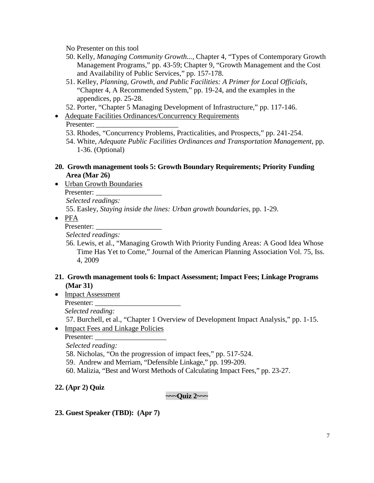No Presenter on this tool

- 50. Kelly, *Managing Community Growth...,* Chapter 4, "Types of Contemporary Growth Management Programs," pp. 43-59; Chapter 9, "Growth Management and the Cost and Availability of Public Services," pp. 157-178.
- 51. Kelley, *Planning, Growth, and Public Facilities: A Primer for Local Officials*, "Chapter 4, A Recommended System," pp. 19-24, and the examples in the appendices, pp. 25-28.
- 52. Porter, "Chapter 5 Managing Development of Infrastructure," pp. 117-146.
- Adequate Facilities Ordinances/Concurrency Requirements Presenter:
	- 53. Rhodes, "Concurrency Problems, Practicalities, and Prospects," pp. 241-254.
	- 54. White, *Adequate Public Facilities Ordinances and Transportation Management*, pp. 1-36. (Optional)

#### **20. Growth management tools 5: Growth Boundary Requirements; Priority Funding Area (Mar 26)**

• Urban Growth Boundaries

Presenter:

*Selected readings:*

55. Easley, *Staying inside the lines: Urban growth boundaries*, pp. 1-29.

• PFA

Presenter:

*Selected readings:*

56. Lewis, et al., ["Managing Growth With Priority Funding Areas: A Good Idea Whose](http://www.tandfonline.com/doi/abs/10.1080/01944360903192560)  [Time Has Yet to Come,](http://www.tandfonline.com/doi/abs/10.1080/01944360903192560)" [Journal of the American Planning Association](http://www.tandfonline.com/toc/rjpa20/75/4) Vol. 75, Iss. 4, 2009

#### **21. Growth management tools 6: Impact Assessment; Impact Fees; Linkage Programs (Mar 31)**

• Impact Assessment

Presenter:

*Selected reading:*

57. Burchell, et al., "Chapter 1 Overview of Development Impact Analysis," pp. 1-15.

• Impact Fees and Linkage Policies

Presenter:

*Selected reading:*

58. Nicholas, "On the progression of impact fees," pp. 517-524.

- 59. Andrew and Merriam, "Defensible Linkage," pp. 199-209.
- 60. Malizia, "Best and Worst Methods of Calculating Impact Fees," pp. 23-27.

**22. (Apr 2) Quiz**

#### **~~~Quiz 2~~~**

**23. Guest Speaker (TBD): (Apr 7)**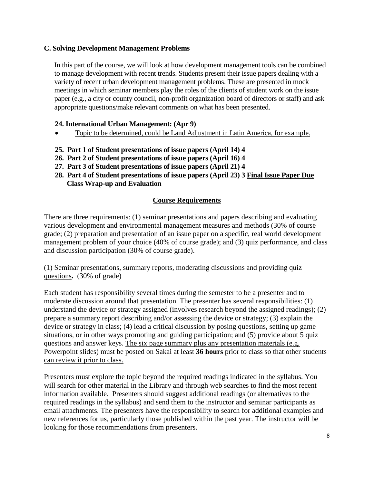### **C. Solving Development Management Problems**

In this part of the course, we will look at how development management tools can be combined to manage development with recent trends. Students present their issue papers dealing with a variety of recent urban development management problems. These are presented in mock meetings in which seminar members play the roles of the clients of student work on the issue paper (e.g., a city or county council, non-profit organization board of directors or staff) and ask appropriate questions/make relevant comments on what has been presented.

### **24. International Urban Management: (Apr 9)**

- Topic to be determined, could be Land Adjustment in Latin America, for example.
- **25. Part 1 of Student presentations of issue papers (April 14) 4**
- **26. Part 2 of Student presentations of issue papers (April 16) 4**
- **27. Part 3 of Student presentations of issue papers (April 21) 4**
- **28. Part 4 of Student presentations of issue papers (April 23) 3 Final Issue Paper Due Class Wrap-up and Evaluation**

### **Course Requirements**

There are three requirements: (1) seminar presentations and papers describing and evaluating various development and environmental management measures and methods (30% of course grade; (2) preparation and presentation of an issue paper on a specific, real world development management problem of your choice (40% of course grade); and (3) quiz performance, and class and discussion participation (30% of course grade).

(1) Seminar presentations, summary reports, moderating discussions and providing quiz questions**.** (30% of grade)

Each student has responsibility several times during the semester to be a presenter and to moderate discussion around that presentation. The presenter has several responsibilities: (1) understand the device or strategy assigned (involves research beyond the assigned readings); (2) prepare a summary report describing and/or assessing the device or strategy; (3) explain the device or strategy in class; (4) lead a critical discussion by posing questions, setting up game situations, or in other ways promoting and guiding participation; and (5) provide about 5 quiz questions and answer keys. The six page summary plus any presentation materials (e.g. Powerpoint slides) must be posted on Sakai at least **36 hours** prior to class so that other students can review it prior to class.

Presenters must explore the topic beyond the required readings indicated in the syllabus. You will search for other material in the Library and through web searches to find the most recent information available. Presenters should suggest additional readings (or alternatives to the required readings in the syllabus) and send them to the instructor and seminar participants as email attachments. The presenters have the responsibility to search for additional examples and new references for us, particularly those published within the past year. The instructor will be looking for those recommendations from presenters.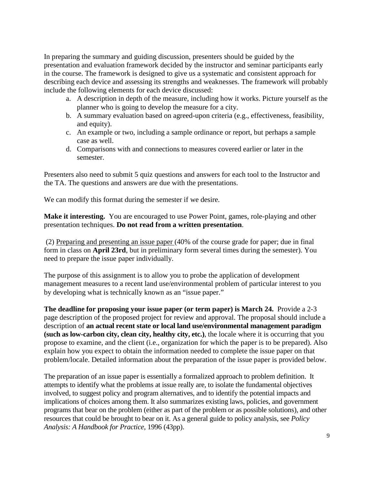In preparing the summary and guiding discussion, presenters should be guided by the presentation and evaluation framework decided by the instructor and seminar participants early in the course. The framework is designed to give us a systematic and consistent approach for describing each device and assessing its strengths and weaknesses. The framework will probably include the following elements for each device discussed:

- a. A description in depth of the measure, including how it works. Picture yourself as the planner who is going to develop the measure for a city.
- b. A summary evaluation based on agreed-upon criteria (e.g., effectiveness, feasibility, and equity).
- c. An example or two, including a sample ordinance or report, but perhaps a sample case as well.
- d. Comparisons with and connections to measures covered earlier or later in the semester.

Presenters also need to submit 5 quiz questions and answers for each tool to the Instructor and the TA. The questions and answers are due with the presentations.

We can modify this format during the semester if we desire.

**Make it interesting.** You are encouraged to use Power Point, games, role-playing and other presentation techniques. **Do not read from a written presentation**.

(2) Preparing and presenting an issue paper (40% of the course grade for paper; due in final form in class on **April 23rd**, but in preliminary form several times during the semester). You need to prepare the issue paper individually.

The purpose of this assignment is to allow you to probe the application of development management measures to a recent land use/environmental problem of particular interest to you by developing what is technically known as an "issue paper."

**The deadline for proposing your issue paper (or term paper) is March 24.** Provide a 2-3 page description of the proposed project for review and approval. The proposal should include a description of **an actual recent state or local land use/environmental management paradigm (such as low-carbon city, clean city, healthy city, etc.)**, the locale where it is occurring that you propose to examine, and the client (i.e., organization for which the paper is to be prepared). Also explain how you expect to obtain the information needed to complete the issue paper on that problem/locale. Detailed information about the preparation of the issue paper is provided below.

The preparation of an issue paper is essentially a formalized approach to problem definition. It attempts to identify what the problems at issue really are, to isolate the fundamental objectives involved, to suggest policy and program alternatives, and to identify the potential impacts and implications of choices among them. It also summarizes existing laws, policies, and government programs that bear on the problem (either as part of the problem or as possible solutions), and other resources that could be brought to bear on it. As a general guide to policy analysis, see *Policy Analysis: A Handbook for Practice*, 1996 (43pp).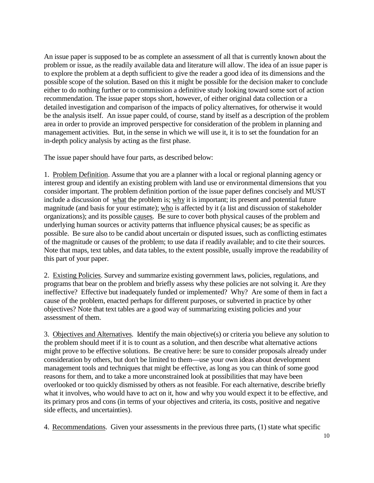An issue paper is supposed to be as complete an assessment of all that is currently known about the problem or issue, as the readily available data and literature will allow. The idea of an issue paper is to explore the problem at a depth sufficient to give the reader a good idea of its dimensions and the possible scope of the solution. Based on this it might be possible for the decision maker to conclude either to do nothing further or to commission a definitive study looking toward some sort of action recommendation. The issue paper stops short, however, of either original data collection or a detailed investigation and comparison of the impacts of policy alternatives, for otherwise it would be the analysis itself. An issue paper could, of course, stand by itself as a description of the problem area in order to provide an improved perspective for consideration of the problem in planning and management activities. But, in the sense in which we will use it, it is to set the foundation for an in-depth policy analysis by acting as the first phase.

The issue paper should have four parts, as described below:

1. Problem Definition. Assume that you are a planner with a local or regional planning agency or interest group and identify an existing problem with land use or environmental dimensions that you consider important. The problem definition portion of the issue paper defines concisely and MUST include a discussion of what the problem is; why it is important; its present and potential future magnitude (and basis for your estimate); who is affected by it (a list and discussion of stakeholder organizations); and its possible causes. Be sure to cover both physical causes of the problem and underlying human sources or activity patterns that influence physical causes; be as specific as possible. Be sure also to be candid about uncertain or disputed issues, such as conflicting estimates of the magnitude or causes of the problem; to use data if readily available; and to cite their sources. Note that maps, text tables, and data tables, to the extent possible, usually improve the readability of this part of your paper.

2. Existing Policies. Survey and summarize existing government laws, policies, regulations, and programs that bear on the problem and briefly assess why these policies are not solving it. Are they ineffective? Effective but inadequately funded or implemented? Why? Are some of them in fact a cause of the problem, enacted perhaps for different purposes, or subverted in practice by other objectives? Note that text tables are a good way of summarizing existing policies and your assessment of them.

3. Objectives and Alternatives. Identify the main objective(s) or criteria you believe any solution to the problem should meet if it is to count as a solution, and then describe what alternative actions might prove to be effective solutions. Be creative here: be sure to consider proposals already under consideration by others, but don't be limited to them—use your own ideas about development management tools and techniques that might be effective, as long as you can think of some good reasons for them, and to take a more unconstrained look at possibilities that may have been overlooked or too quickly dismissed by others as not feasible. For each alternative, describe briefly what it involves, who would have to act on it, how and why you would expect it to be effective, and its primary pros and cons (in terms of your objectives and criteria, its costs, positive and negative side effects, and uncertainties).

4. Recommendations. Given your assessments in the previous three parts, (1) state what specific